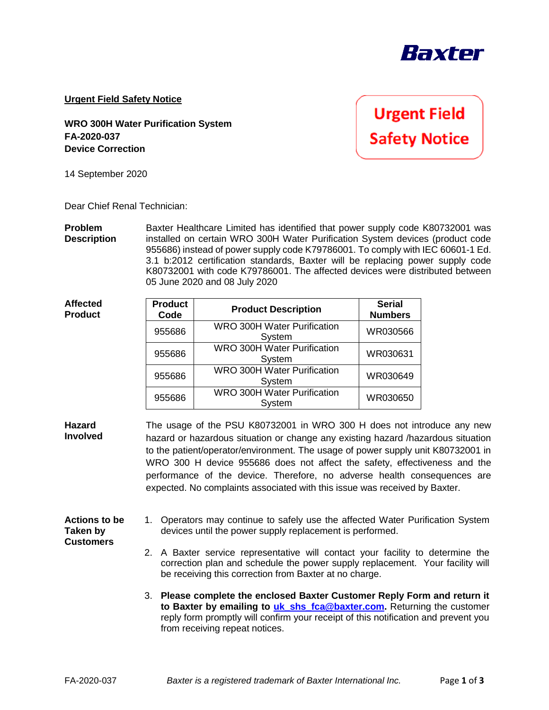

**Urgent Field Safety Notice**

**WRO 300H Water Purification System FA-2020-037 Device Correction**

**Urgent Field Safety Notice** 

14 September 2020

Dear Chief Renal Technician:

**Problem Description** Baxter Healthcare Limited has identified that power supply code K80732001 was installed on certain WRO 300H Water Purification System devices (product code 955686) instead of power supply code K79786001. To comply with IEC 60601-1 Ed. 3.1 b:2012 certification standards, Baxter will be replacing power supply code K80732001 with code K79786001. The affected devices were distributed between 05 June 2020 and 08 July 2020

| <b>Affected</b><br><b>Product</b> | <b>Product</b><br>Code | <b>Product Description</b>                   | <b>Serial</b><br><b>Numbers</b> |
|-----------------------------------|------------------------|----------------------------------------------|---------------------------------|
|                                   | 955686                 | <b>WRO 300H Water Purification</b><br>System | WR030566                        |
|                                   | 955686                 | <b>WRO 300H Water Purification</b><br>System | WR030631                        |
|                                   | 955686                 | <b>WRO 300H Water Purification</b><br>System | WR030649                        |
|                                   | 955686                 | <b>WRO 300H Water Purification</b><br>System | WR030650                        |

**Hazard Involved** The usage of the PSU K80732001 in WRO 300 H does not introduce any new hazard or hazardous situation or change any existing hazard /hazardous situation to the patient/operator/environment. The usage of power supply unit K80732001 in WRO 300 H device 955686 does not affect the safety, effectiveness and the performance of the device. Therefore, no adverse health consequences are expected. No complaints associated with this issue was received by Baxter.

## **Actions to be Taken by Customers** 1. Operators may continue to safely use the affected Water Purification System devices until the power supply replacement is performed.

- 2. A Baxter service representative will contact your facility to determine the correction plan and schedule the power supply replacement. Your facility will be receiving this correction from Baxter at no charge.
- 3. **Please complete the enclosed Baxter Customer Reply Form and return it to Baxter by emailing to [uk\\_shs\\_fca@baxter.com.](mailto:uk_shs_fca@baxter.com)** Returning the customer reply form promptly will confirm your receipt of this notification and prevent you from receiving repeat notices.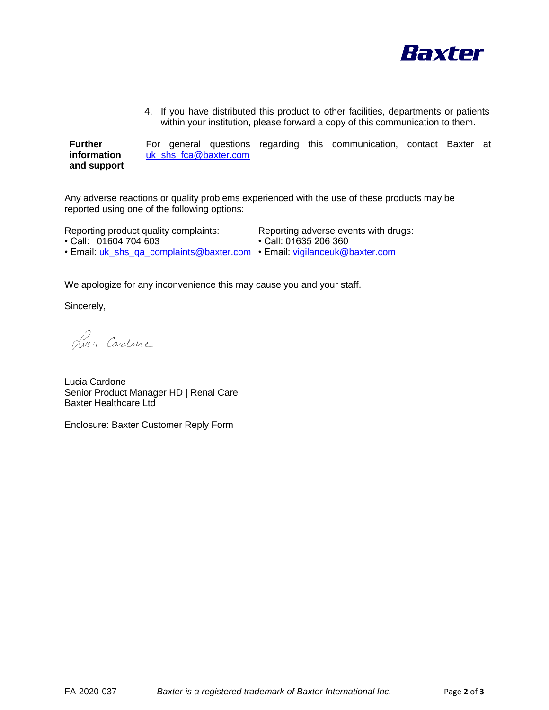

4. If you have distributed this product to other facilities, departments or patients within your institution, please forward a copy of this communication to them.

**Further information and support**  For general questions regarding this communication, contact Baxter at uk shs fca@baxter.com

Any adverse reactions or quality problems experienced with the use of these products may be reported using one of the following options:

Reporting product quality complaints: Reporting adverse events with drugs:

- Call: 01604 704 603 Call: 01635 206 360
	-
- Email: uk\_shs\_qa\_complaints@baxter.com Email: [vigilanceuk@baxter.com](mailto:vigilanceuk@baxter.com)

We apologize for any inconvenience this may cause you and your staff.

Sincerely,

Luci Codone

Lucia Cardone Senior Product Manager HD | Renal Care Baxter Healthcare Ltd

Enclosure: Baxter Customer Reply Form